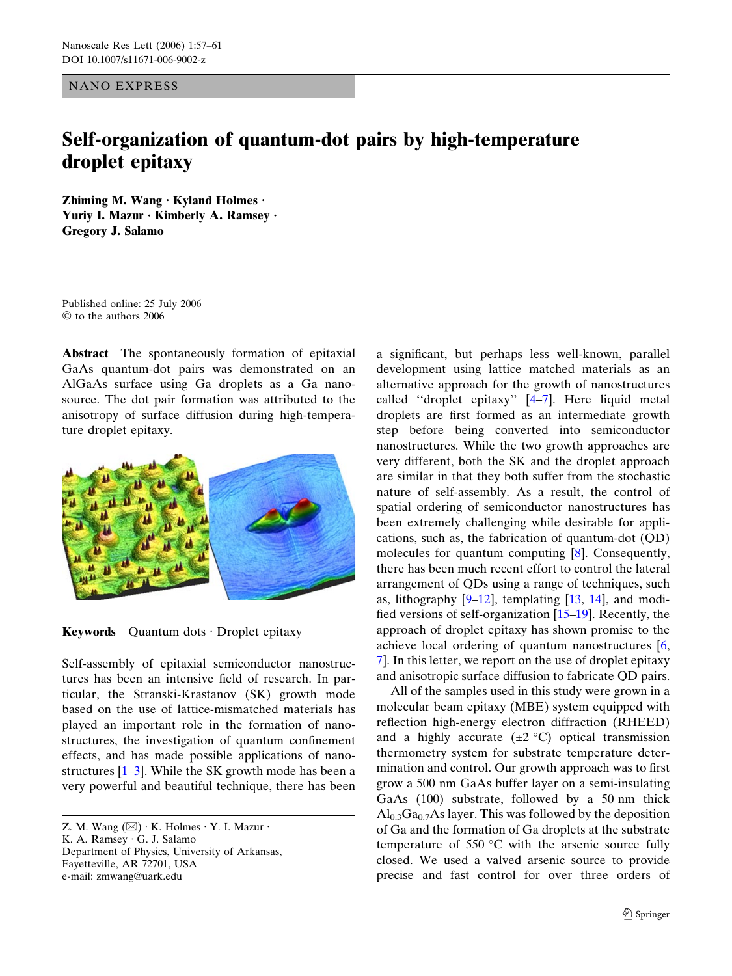NANO EXPRESS

## Self-organization of quantum-dot pairs by high-temperature droplet epitaxy

Zhiming M. Wang  $\cdot$  Kyland Holmes  $\cdot$ Yuriy I. Mazur · Kimberly A. Ramsey · Gregory J. Salamo

Published online: 25 July 2006  $©$  to the authors 2006

Abstract The spontaneously formation of epitaxial GaAs quantum-dot pairs was demonstrated on an AlGaAs surface using Ga droplets as a Ga nanosource. The dot pair formation was attributed to the anisotropy of surface diffusion during high-temperature droplet epitaxy.



Keywords Quantum dots  $\cdot$  Droplet epitaxy

Self-assembly of epitaxial semiconductor nanostructures has been an intensive field of research. In particular, the Stranski-Krastanov (SK) growth mode based on the use of lattice-mismatched materials has played an important role in the formation of nanostructures, the investigation of quantum confinement effects, and has made possible applications of nanostructures [[1–3\]](#page-3-0). While the SK growth mode has been a very powerful and beautiful technique, there has been

a significant, but perhaps less well-known, parallel development using lattice matched materials as an alternative approach for the growth of nanostructures called ''droplet epitaxy'' [\[4](#page-3-0)–[7\]](#page-3-0). Here liquid metal droplets are first formed as an intermediate growth step before being converted into semiconductor nanostructures. While the two growth approaches are very different, both the SK and the droplet approach are similar in that they both suffer from the stochastic nature of self-assembly. As a result, the control of spatial ordering of semiconductor nanostructures has been extremely challenging while desirable for applications, such as, the fabrication of quantum-dot (QD) molecules for quantum computing [\[8](#page-3-0)]. Consequently, there has been much recent effort to control the lateral arrangement of QDs using a range of techniques, such as, lithography  $[9-12]$  $[9-12]$  $[9-12]$ , templating  $[13, 14]$  $[13, 14]$  $[13, 14]$  $[13, 14]$  $[13, 14]$ , and modified versions of self-organization [\[15–19](#page-4-0)]. Recently, the approach of droplet epitaxy has shown promise to the achieve local ordering of quantum nanostructures [\[6](#page-3-0), [7\]](#page-3-0). In this letter, we report on the use of droplet epitaxy and anisotropic surface diffusion to fabricate QD pairs.

All of the samples used in this study were grown in a molecular beam epitaxy (MBE) system equipped with reflection high-energy electron diffraction (RHEED) and a highly accurate  $(\pm 2 \degree C)$  optical transmission thermometry system for substrate temperature determination and control. Our growth approach was to first grow a 500 nm GaAs buffer layer on a semi-insulating GaAs (100) substrate, followed by a 50 nm thick  $\text{Al}_{0,3}\text{Ga}_{0,7}\text{As}$  layer. This was followed by the deposition of Ga and the formation of Ga droplets at the substrate temperature of 550  $\degree$ C with the arsenic source fully closed. We used a valved arsenic source to provide precise and fast control for over three orders of

Z. M. Wang  $(\boxtimes) \cdot K$ . Holmes  $\cdot Y$ . I. Mazur  $\cdot$ K. A. Ramsey G. J. Salamo Department of Physics, University of Arkansas, Fayetteville, AR 72701, USA e-mail: zmwang@uark.edu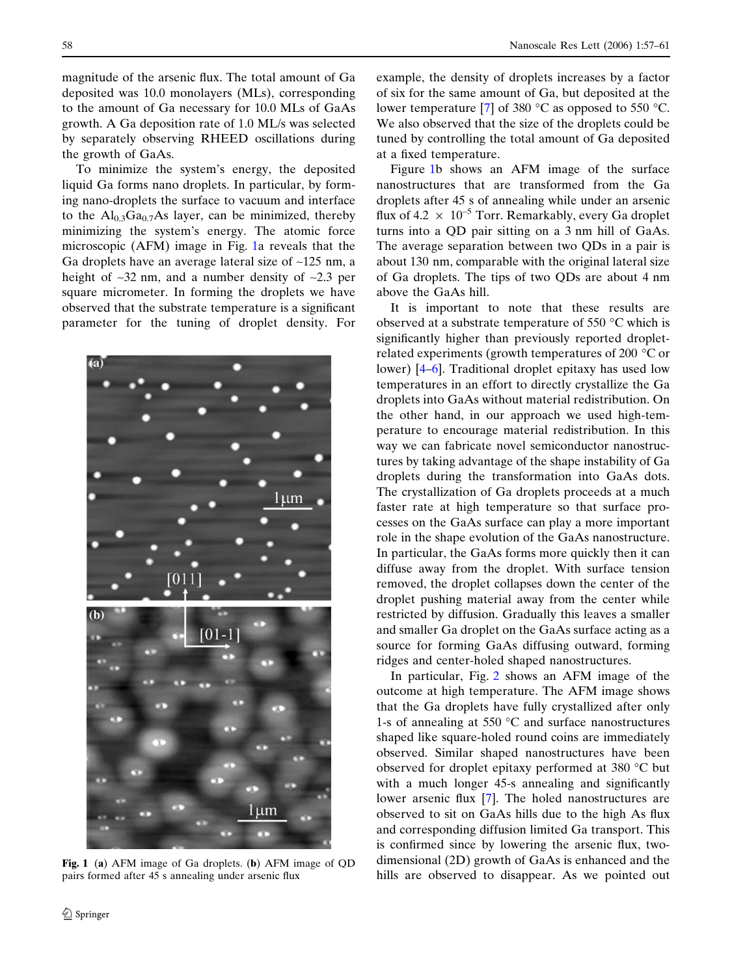<span id="page-1-0"></span>magnitude of the arsenic flux. The total amount of Ga deposited was 10.0 monolayers (MLs), corresponding to the amount of Ga necessary for 10.0 MLs of GaAs growth. A Ga deposition rate of 1.0 ML/s was selected by separately observing RHEED oscillations during the growth of GaAs.

To minimize the system's energy, the deposited liquid Ga forms nano droplets. In particular, by forming nano-droplets the surface to vacuum and interface to the  $Al_{0.3}Ga_{0.7}As$  layer, can be minimized, thereby minimizing the system's energy. The atomic force microscopic (AFM) image in Fig. 1a reveals that the Ga droplets have an average lateral size of  $\sim$ 125 nm, a height of  $\sim$ 32 nm, and a number density of  $\sim$ 2.3 per square micrometer. In forming the droplets we have observed that the substrate temperature is a significant parameter for the tuning of droplet density. For



Fig. 1 (a) AFM image of Ga droplets. (b) AFM image of QD pairs formed after 45 s annealing under arsenic flux

example, the density of droplets increases by a factor of six for the same amount of Ga, but deposited at the lower temperature [[7\]](#page-3-0) of 380  $^{\circ}$ C as opposed to 550  $^{\circ}$ C. We also observed that the size of the droplets could be tuned by controlling the total amount of Ga deposited at a fixed temperature.

Figure 1b shows an AFM image of the surface nanostructures that are transformed from the Ga droplets after 45 s of annealing while under an arsenic flux of 4.2  $\times$  10<sup>-5</sup> Torr. Remarkably, every Ga droplet turns into a QD pair sitting on a 3 nm hill of GaAs. The average separation between two QDs in a pair is about 130 nm, comparable with the original lateral size of Ga droplets. The tips of two QDs are about 4 nm above the GaAs hill.

It is important to note that these results are observed at a substrate temperature of 550  $\degree$ C which is significantly higher than previously reported dropletrelated experiments (growth temperatures of 200  $\degree$ C or lower) [\[4–6](#page-3-0)]. Traditional droplet epitaxy has used low temperatures in an effort to directly crystallize the Ga droplets into GaAs without material redistribution. On the other hand, in our approach we used high-temperature to encourage material redistribution. In this way we can fabricate novel semiconductor nanostructures by taking advantage of the shape instability of Ga droplets during the transformation into GaAs dots. The crystallization of Ga droplets proceeds at a much faster rate at high temperature so that surface processes on the GaAs surface can play a more important role in the shape evolution of the GaAs nanostructure. In particular, the GaAs forms more quickly then it can diffuse away from the droplet. With surface tension removed, the droplet collapses down the center of the droplet pushing material away from the center while restricted by diffusion. Gradually this leaves a smaller and smaller Ga droplet on the GaAs surface acting as a source for forming GaAs diffusing outward, forming ridges and center-holed shaped nanostructures.

In particular, Fig. [2](#page-2-0) shows an AFM image of the outcome at high temperature. The AFM image shows that the Ga droplets have fully crystallized after only 1-s of annealing at 550  $\degree$ C and surface nanostructures shaped like square-holed round coins are immediately observed. Similar shaped nanostructures have been observed for droplet epitaxy performed at 380  $\degree$ C but with a much longer 45-s annealing and significantly lower arsenic flux [\[7](#page-3-0)]. The holed nanostructures are observed to sit on GaAs hills due to the high As flux and corresponding diffusion limited Ga transport. This is confirmed since by lowering the arsenic flux, twodimensional (2D) growth of GaAs is enhanced and the hills are observed to disappear. As we pointed out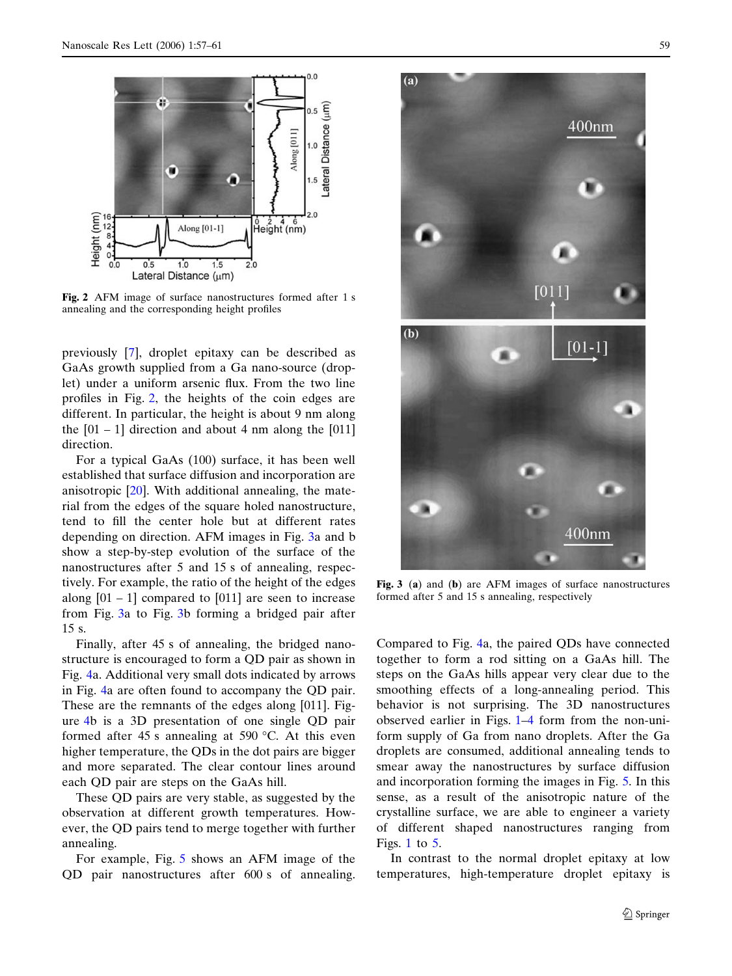<span id="page-2-0"></span>

Fig. 2 AFM image of surface nanostructures formed after 1 s annealing and the corresponding height profiles

previously [\[7](#page-3-0)], droplet epitaxy can be described as GaAs growth supplied from a Ga nano-source (droplet) under a uniform arsenic flux. From the two line profiles in Fig. 2, the heights of the coin edges are different. In particular, the height is about 9 nm along the  $[01 - 1]$  direction and about 4 nm along the  $[011]$ direction.

For a typical GaAs (100) surface, it has been well established that surface diffusion and incorporation are anisotropic [[20\]](#page-4-0). With additional annealing, the material from the edges of the square holed nanostructure, tend to fill the center hole but at different rates depending on direction. AFM images in Fig. 3a and b show a step-by-step evolution of the surface of the nanostructures after 5 and 15 s of annealing, respectively. For example, the ratio of the height of the edges along  $[01 - 1]$  compared to  $[011]$  are seen to increase from Fig. 3a to Fig. 3b forming a bridged pair after 15 s.

Finally, after 45 s of annealing, the bridged nanostructure is encouraged to form a QD pair as shown in Fig. [4](#page-3-0)a. Additional very small dots indicated by arrows in Fig. [4a](#page-3-0) are often found to accompany the QD pair. These are the remnants of the edges along [011]. Figure [4](#page-3-0)b is a 3D presentation of one single QD pair formed after 45 s annealing at 590  $\degree$ C. At this even higher temperature, the QDs in the dot pairs are bigger and more separated. The clear contour lines around each QD pair are steps on the GaAs hill.

These QD pairs are very stable, as suggested by the observation at different growth temperatures. However, the QD pairs tend to merge together with further annealing.

For example, Fig. [5](#page-3-0) shows an AFM image of the QD pair nanostructures after 600 s of annealing.



Fig. 3 (a) and (b) are AFM images of surface nanostructures formed after 5 and 15 s annealing, respectively

Compared to Fig. [4a](#page-3-0), the paired QDs have connected together to form a rod sitting on a GaAs hill. The steps on the GaAs hills appear very clear due to the smoothing effects of a long-annealing period. This behavior is not surprising. The 3D nanostructures observed earlier in Figs. [1](#page-1-0)[–4](#page-3-0) form from the non-uniform supply of Ga from nano droplets. After the Ga droplets are consumed, additional annealing tends to smear away the nanostructures by surface diffusion and incorporation forming the images in Fig. [5](#page-3-0). In this sense, as a result of the anisotropic nature of the crystalline surface, we are able to engineer a variety of different shaped nanostructures ranging from Figs. [1](#page-1-0) to  $5$ .

In contrast to the normal droplet epitaxy at low temperatures, high-temperature droplet epitaxy is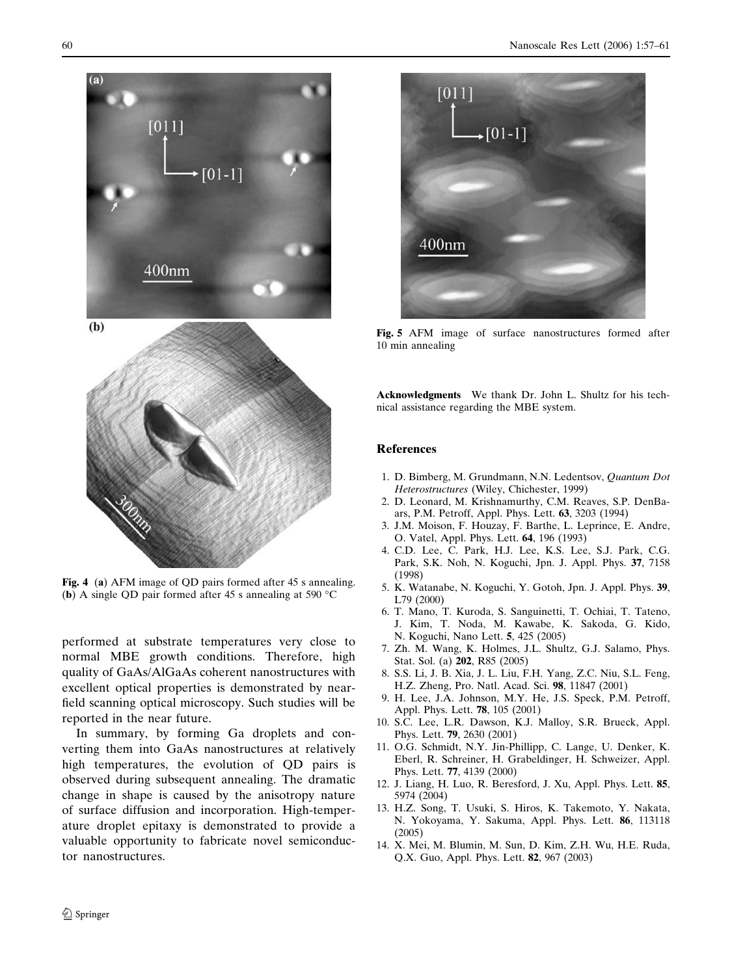<span id="page-3-0"></span>

Fig. 4 (a) AFM image of QD pairs formed after 45 s annealing. (b) A single QD pair formed after 45 s annealing at 590  $^{\circ}$ C

performed at substrate temperatures very close to normal MBE growth conditions. Therefore, high quality of GaAs/AlGaAs coherent nanostructures with excellent optical properties is demonstrated by nearfield scanning optical microscopy. Such studies will be reported in the near future.

In summary, by forming Ga droplets and converting them into GaAs nanostructures at relatively high temperatures, the evolution of QD pairs is observed during subsequent annealing. The dramatic change in shape is caused by the anisotropy nature of surface diffusion and incorporation. High-temperature droplet epitaxy is demonstrated to provide a valuable opportunity to fabricate novel semiconductor nanostructures.



Fig. 5 AFM image of surface nanostructures formed after 10 min annealing

Acknowledgments We thank Dr. John L. Shultz for his technical assistance regarding the MBE system.

## References

- 1. D. Bimberg, M. Grundmann, N.N. Ledentsov, Quantum Dot Heterostructures (Wiley, Chichester, 1999)
- 2. D. Leonard, M. Krishnamurthy, C.M. Reaves, S.P. DenBaars, P.M. Petroff, Appl. Phys. Lett. 63, 3203 (1994)
- 3. J.M. Moison, F. Houzay, F. Barthe, L. Leprince, E. Andre, O. Vatel, Appl. Phys. Lett. 64, 196 (1993)
- 4. C.D. Lee, C. Park, H.J. Lee, K.S. Lee, S.J. Park, C.G. Park, S.K. Noh, N. Koguchi, Jpn. J. Appl. Phys. 37, 7158 (1998)
- 5. K. Watanabe, N. Koguchi, Y. Gotoh, Jpn. J. Appl. Phys. 39, L79 (2000)
- 6. T. Mano, T. Kuroda, S. Sanguinetti, T. Ochiai, T. Tateno, J. Kim, T. Noda, M. Kawabe, K. Sakoda, G. Kido, N. Koguchi, Nano Lett. 5, 425 (2005)
- 7. Zh. M. Wang, K. Holmes, J.L. Shultz, G.J. Salamo, Phys. Stat. Sol. (a) 202, R85 (2005)
- 8. S.S. Li, J. B. Xia, J. L. Liu, F.H. Yang, Z.C. Niu, S.L. Feng, H.Z. Zheng, Pro. Natl. Acad. Sci. 98, 11847 (2001)
- 9. H. Lee, J.A. Johnson, M.Y. He, J.S. Speck, P.M. Petroff, Appl. Phys. Lett. 78, 105 (2001)
- 10. S.C. Lee, L.R. Dawson, K.J. Malloy, S.R. Brueck, Appl. Phys. Lett. 79, 2630 (2001)
- 11. O.G. Schmidt, N.Y. Jin-Phillipp, C. Lange, U. Denker, K. Eberl, R. Schreiner, H. Grabeldinger, H. Schweizer, Appl. Phys. Lett. 77, 4139 (2000)
- 12. J. Liang, H. Luo, R. Beresford, J. Xu, Appl. Phys. Lett. 85, 5974 (2004)
- 13. H.Z. Song, T. Usuki, S. Hiros, K. Takemoto, Y. Nakata, N. Yokoyama, Y. Sakuma, Appl. Phys. Lett. 86, 113118 (2005)
- 14. X. Mei, M. Blumin, M. Sun, D. Kim, Z.H. Wu, H.E. Ruda, Q.X. Guo, Appl. Phys. Lett. 82, 967 (2003)